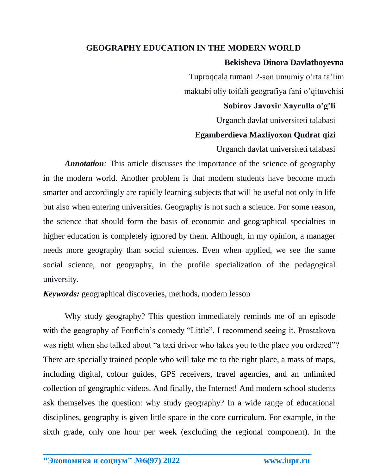# **GEOGRAPHY EDUCATION IN THE MODERN WORLD**

### **Bekisheva Dinora Davlatboyevna**

Tuproqqala tumani 2-son umumiy o'rta ta'lim maktabi oliy toifali geografiya fani o'qituvchisi

### **Sobirov Javoxir Xayrulla o'g'li**

Urganch davlat universiteti talabasi

### **Egamberdieva Maxliyoxon Qudrat qizi**

Urganch davlat universiteti talabasi

*Annotation:* This article discusses the importance of the science of geography in the modern world. Another problem is that modern students have become much smarter and accordingly are rapidly learning subjects that will be useful not only in life but also when entering universities. Geography is not such a science. For some reason, the science that should form the basis of economic and geographical specialties in higher education is completely ignored by them. Although, in my opinion, a manager needs more geography than social sciences. Even when applied, we see the same social science, not geography, in the profile specialization of the pedagogical university.

*Keywords:* geographical discoveries, methods, modern lesson

Why study geography? This question immediately reminds me of an episode with the geography of Fonficin's comedy "Little". I recommend seeing it. Prostakova was right when she talked about "a taxi driver who takes you to the place you ordered"? There are specially trained people who will take me to the right place, a mass of maps, including digital, colour guides, GPS receivers, travel agencies, and an unlimited collection of geographic videos. And finally, the Internet! And modern school students ask themselves the question: why study geography? In a wide range of educational disciplines, geography is given little space in the core curriculum. For example, in the sixth grade, only one hour per week (excluding the regional component). In the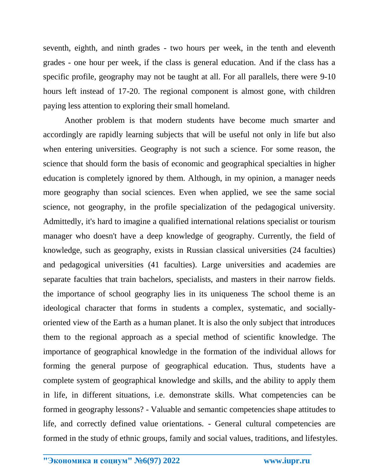seventh, eighth, and ninth grades - two hours per week, in the tenth and eleventh grades - one hour per week, if the class is general education. And if the class has a specific profile, geography may not be taught at all. For all parallels, there were 9-10 hours left instead of 17-20. The regional component is almost gone, with children paying less attention to exploring their small homeland.

Another problem is that modern students have become much smarter and accordingly are rapidly learning subjects that will be useful not only in life but also when entering universities. Geography is not such a science. For some reason, the science that should form the basis of economic and geographical specialties in higher education is completely ignored by them. Although, in my opinion, a manager needs more geography than social sciences. Even when applied, we see the same social science, not geography, in the profile specialization of the pedagogical university. Admittedly, it's hard to imagine a qualified international relations specialist or tourism manager who doesn't have a deep knowledge of geography. Currently, the field of knowledge, such as geography, exists in Russian classical universities (24 faculties) and pedagogical universities (41 faculties). Large universities and academies are separate faculties that train bachelors, specialists, and masters in their narrow fields. the importance of school geography lies in its uniqueness The school theme is an ideological character that forms in students a complex, systematic, and sociallyoriented view of the Earth as a human planet. It is also the only subject that introduces them to the regional approach as a special method of scientific knowledge. The importance of geographical knowledge in the formation of the individual allows for forming the general purpose of geographical education. Thus, students have a complete system of geographical knowledge and skills, and the ability to apply them in life, in different situations, i.e. demonstrate skills. What competencies can be formed in geography lessons? - Valuable and semantic competencies shape attitudes to life, and correctly defined value orientations. - General cultural competencies are formed in the study of ethnic groups, family and social values, traditions, and lifestyles.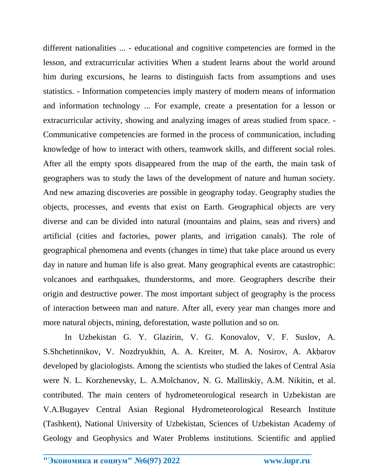different nationalities ... - educational and cognitive competencies are formed in the lesson, and extracurricular activities When a student learns about the world around him during excursions, he learns to distinguish facts from assumptions and uses statistics. - Information competencies imply mastery of modern means of information and information technology ... For example, create a presentation for a lesson or extracurricular activity, showing and analyzing images of areas studied from space. - Communicative competencies are formed in the process of communication, including knowledge of how to interact with others, teamwork skills, and different social roles. After all the empty spots disappeared from the map of the earth, the main task of geographers was to study the laws of the development of nature and human society. And new amazing discoveries are possible in geography today. Geography studies the objects, processes, and events that exist on Earth. Geographical objects are very diverse and can be divided into natural (mountains and plains, seas and rivers) and artificial (cities and factories, power plants, and irrigation canals). The role of geographical phenomena and events (changes in time) that take place around us every day in nature and human life is also great. Many geographical events are catastrophic: volcanoes and earthquakes, thunderstorms, and more. Geographers describe their origin and destructive power. The most important subject of geography is the process of interaction between man and nature. After all, every year man changes more and more natural objects, mining, deforestation, waste pollution and so on.

In Uzbekistan G. Y. Glazirin, V. G. Konovalov, V. F. Suslov, A. S.Shchetinnikov, V. Nozdryukhin, A. A. Kreiter, M. A. Nosirov, A. Akbarov developed by glaciologists. Among the scientists who studied the lakes of Central Asia were N. L. Korzhenevsky, L. A.Molchanov, N. G. Mallitskiy, A.M. Nikitin, et al. contributed. The main centers of hydrometeorological research in Uzbekistan are V.A.Bugayev Central Asian Regional Hydrometeorological Research Institute (Tashkent), National University of Uzbekistan, Sciences of Uzbekistan Academy of Geology and Geophysics and Water Problems institutions. Scientific and applied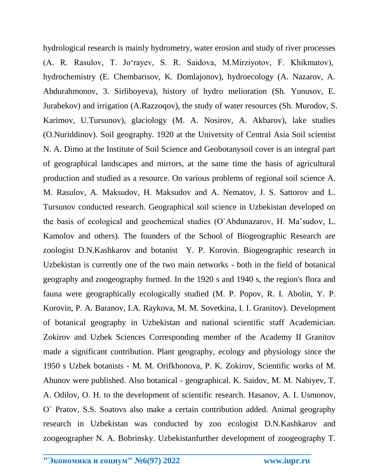hydrological research is mainly hydrometry, water erosion and study of river processes (A. R. Rasulov, T. Joʻrayev, S. R. Saidova, M.Mirziyotov, F. Khikmatov), hydrochemistry (E. Chembarisov, K. Domlajonov), hydroecology (A. Nazarov, A. Abdurahmonov, 3. Sirliboyeva), history of hydro melioration (Sh. Yunusov, E. Jurabekov) and irrigation (A.Razzoqov), the study of water resources (Sh. Murodov, S. Karimov, U.Tursunov), glaciology (M. A. Nosirov, A. Akbarov), lake studies (O.Nuriddinov). Soil geography. 1920 at the University of Central Asia Soil scientist N. A. Dimo at the Institute of Soil Science and Geobotanysoil cover is an integral part of geographical landscapes and mirrors, at the same time the basis of agricultural production and studied as a resource. On various problems of regional soil science A. M. Rasulov, A. Maksudov, H. Maksudov and A. Nematov, J. S. Sattorov and L. Tursunov conducted research. Geographical soil science in Uzbekistan developed on the basis of ecological and geochemical studies (O`Abdunazarov, H. Ma'sudov, L. Kamolov and others). The founders of the School of Biogeographic Research are zoologist D.N.Kashkarov and botanist Y. P. Korovin. Biogeographic research in Uzbekistan is currently one of the two main networks - both in the field of botanical geography and zoogeography formed. In the 1920 s and 1940 s, the region's flora and fauna were geographically ecologically studied (M. P. Popov, R. I. Abolin, Y. P. Korovin, P. A. Baranov, I.A. Raykova, M. M. Sovetkina, I. I. Granitov). Development of botanical geography in Uzbekistan and national scientific staff Academician. Zokirov and Uzbek Sciences Corresponding member of the Academy II Granitov made a significant contribution. Plant geography, ecology and physiology since the 1950 s Uzbek botanists - M. M. Orifkhonova, P. K. Zokirov, Scientific works of M. Ahunov were published. Also botanical - geographical. K. Saidov, M. M. Nabiyev, T. A. Odilov, O. H. to the development of scientific research. Hasanov, A. I. Usmonov, O` Pratov, S.S. Soatovs also make a certain contribution added. Animal geography research in Uzbekistan was conducted by zoo ecologist D.N.Kashkarov and zoogeographer N. A. Bobrinsky. Uzbekistanfurther development of zoogeography T.